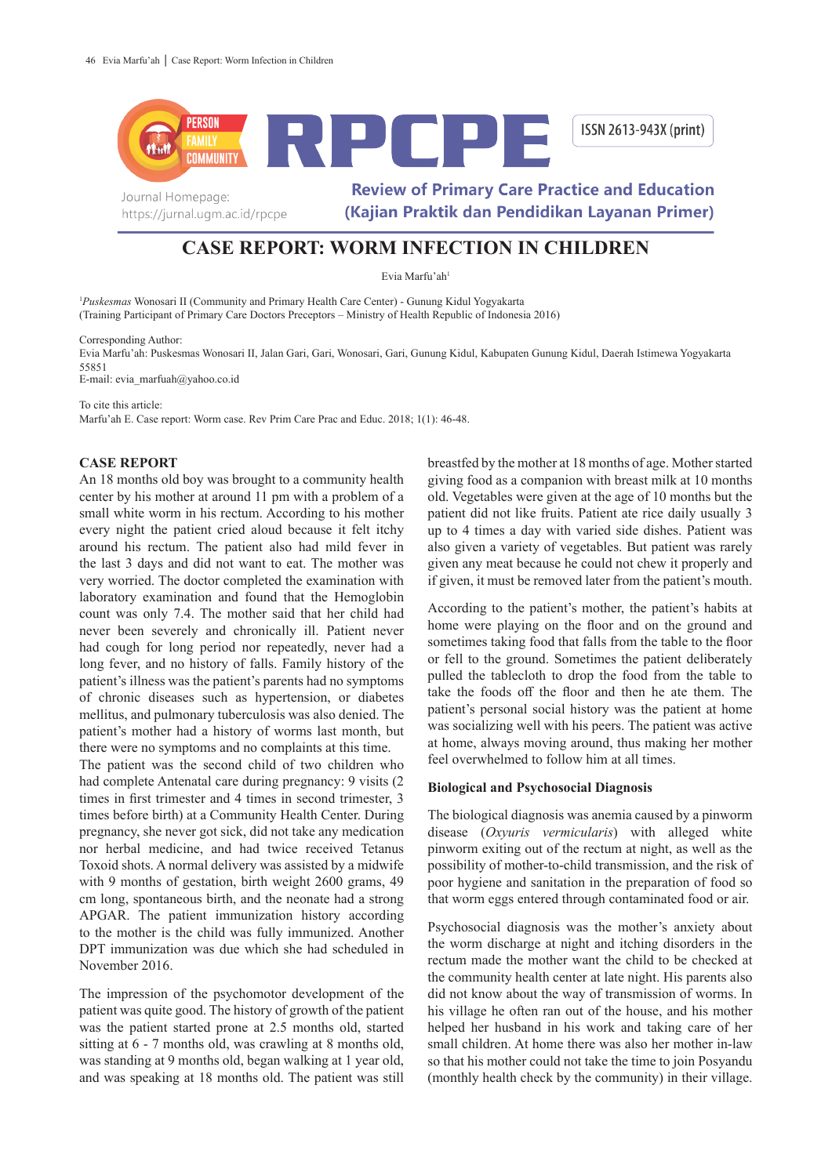

# **CASE REPORT: WORM INFECTION IN CHILDREN**

Evia Marfu'ah<sup>1</sup>

1 *Puskesmas* Wonosari II (Community and Primary Health Care Center) - Gunung Kidul Yogyakarta (Training Participant of Primary Care Doctors Preceptors – Ministry of Health Republic of Indonesia 2016)

Corresponding Author:

Evia Marfu'ah: Puskesmas Wonosari II, Jalan Gari, Gari, Wonosari, Gari, Gunung Kidul, Kabupaten Gunung Kidul, Daerah Istimewa Yogyakarta 55851

E-mail: evia\_marfuah@yahoo.co.id

To cite this article:

Marfu'ah E. Case report: Worm case. Rev Prim Care Prac and Educ. 2018; 1(1): 46-48.

## **CASE REPORT**

An 18 months old boy was brought to a community health center by his mother at around 11 pm with a problem of a small white worm in his rectum. According to his mother every night the patient cried aloud because it felt itchy around his rectum. The patient also had mild fever in the last 3 days and did not want to eat. The mother was very worried. The doctor completed the examination with laboratory examination and found that the Hemoglobin count was only 7.4. The mother said that her child had never been severely and chronically ill. Patient never had cough for long period nor repeatedly, never had a long fever, and no history of falls. Family history of the patient's illness was the patient's parents had no symptoms of chronic diseases such as hypertension, or diabetes mellitus, and pulmonary tuberculosis was also denied. The patient's mother had a history of worms last month, but there were no symptoms and no complaints at this time.

The patient was the second child of two children who had complete Antenatal care during pregnancy: 9 visits (2 times in first trimester and 4 times in second trimester, 3 times before birth) at a Community Health Center. During pregnancy, she never got sick, did not take any medication nor herbal medicine, and had twice received Tetanus Toxoid shots. A normal delivery was assisted by a midwife with 9 months of gestation, birth weight 2600 grams, 49 cm long, spontaneous birth, and the neonate had a strong APGAR. The patient immunization history according to the mother is the child was fully immunized. Another DPT immunization was due which she had scheduled in November 2016.

The impression of the psychomotor development of the patient was quite good. The history of growth of the patient was the patient started prone at 2.5 months old, started sitting at 6 - 7 months old, was crawling at 8 months old, was standing at 9 months old, began walking at 1 year old, and was speaking at 18 months old. The patient was still

breastfed by the mother at 18 months of age. Mother started giving food as a companion with breast milk at 10 months old. Vegetables were given at the age of 10 months but the patient did not like fruits. Patient ate rice daily usually 3 up to 4 times a day with varied side dishes. Patient was also given a variety of vegetables. But patient was rarely given any meat because he could not chew it properly and if given, it must be removed later from the patient's mouth.

According to the patient's mother, the patient's habits at home were playing on the floor and on the ground and sometimes taking food that falls from the table to the floor or fell to the ground. Sometimes the patient deliberately pulled the tablecloth to drop the food from the table to take the foods off the floor and then he ate them. The patient's personal social history was the patient at home was socializing well with his peers. The patient was active at home, always moving around, thus making her mother feel overwhelmed to follow him at all times.

### **Biological and Psychosocial Diagnosis**

The biological diagnosis was anemia caused by a pinworm disease (*Oxyuris vermicularis*) with alleged white pinworm exiting out of the rectum at night, as well as the possibility of mother-to-child transmission, and the risk of poor hygiene and sanitation in the preparation of food so that worm eggs entered through contaminated food or air.

Psychosocial diagnosis was the mother's anxiety about the worm discharge at night and itching disorders in the rectum made the mother want the child to be checked at the community health center at late night. His parents also did not know about the way of transmission of worms. In his village he often ran out of the house, and his mother helped her husband in his work and taking care of her small children. At home there was also her mother in-law so that his mother could not take the time to join Posyandu (monthly health check by the community) in their village.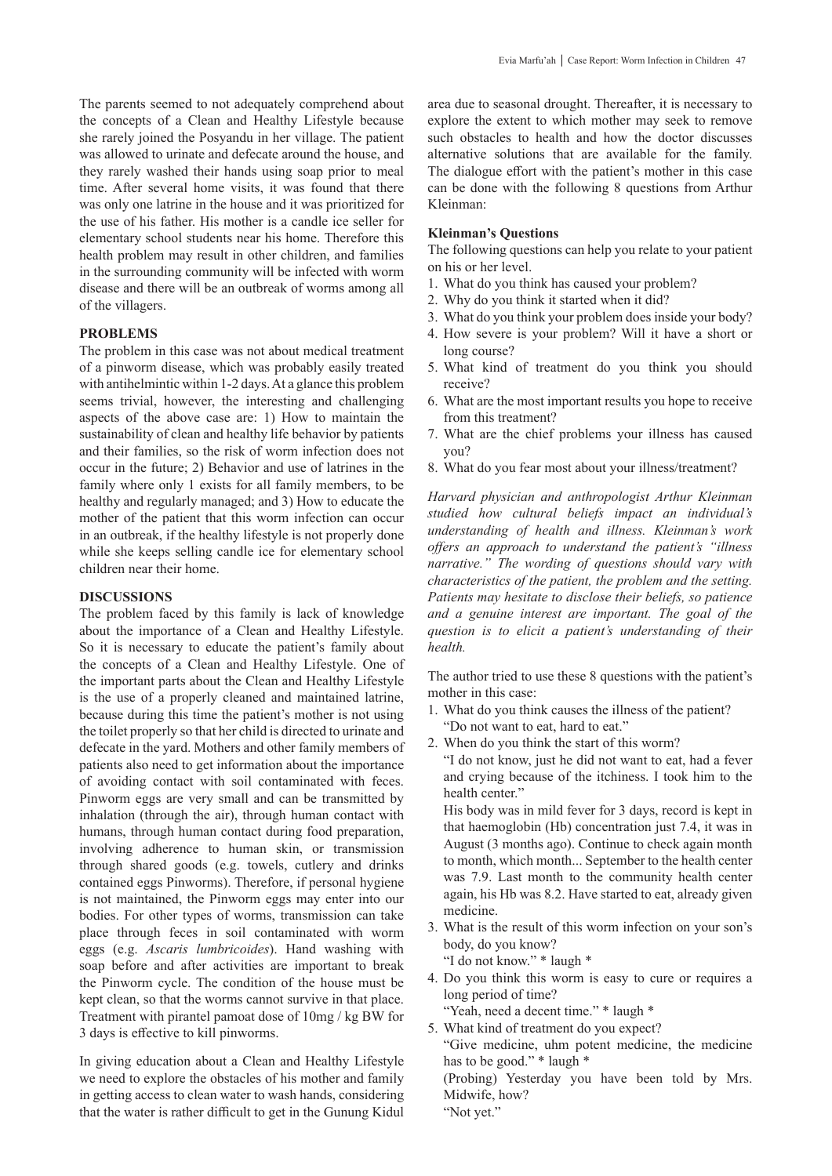The parents seemed to not adequately comprehend about the concepts of a Clean and Healthy Lifestyle because she rarely joined the Posyandu in her village. The patient was allowed to urinate and defecate around the house, and they rarely washed their hands using soap prior to meal time. After several home visits, it was found that there was only one latrine in the house and it was prioritized for the use of his father. His mother is a candle ice seller for elementary school students near his home. Therefore this health problem may result in other children, and families in the surrounding community will be infected with worm disease and there will be an outbreak of worms among all of the villagers.

## **PROBLEMS**

The problem in this case was not about medical treatment of a pinworm disease, which was probably easily treated with antihelmintic within 1-2 days. At a glance this problem seems trivial, however, the interesting and challenging aspects of the above case are: 1) How to maintain the sustainability of clean and healthy life behavior by patients and their families, so the risk of worm infection does not occur in the future; 2) Behavior and use of latrines in the family where only 1 exists for all family members, to be healthy and regularly managed; and 3) How to educate the mother of the patient that this worm infection can occur in an outbreak, if the healthy lifestyle is not properly done while she keeps selling candle ice for elementary school children near their home.

#### **DISCUSSIONS**

The problem faced by this family is lack of knowledge about the importance of a Clean and Healthy Lifestyle. So it is necessary to educate the patient's family about the concepts of a Clean and Healthy Lifestyle. One of the important parts about the Clean and Healthy Lifestyle is the use of a properly cleaned and maintained latrine, because during this time the patient's mother is not using the toilet properly so that her child is directed to urinate and defecate in the yard. Mothers and other family members of patients also need to get information about the importance of avoiding contact with soil contaminated with feces. Pinworm eggs are very small and can be transmitted by inhalation (through the air), through human contact with humans, through human contact during food preparation, involving adherence to human skin, or transmission through shared goods (e.g. towels, cutlery and drinks contained eggs Pinworms). Therefore, if personal hygiene is not maintained, the Pinworm eggs may enter into our bodies. For other types of worms, transmission can take place through feces in soil contaminated with worm eggs (e.g. *Ascaris lumbricoides*). Hand washing with soap before and after activities are important to break the Pinworm cycle. The condition of the house must be kept clean, so that the worms cannot survive in that place. Treatment with pirantel pamoat dose of 10mg / kg BW for 3 days is effective to kill pinworms.

In giving education about a Clean and Healthy Lifestyle we need to explore the obstacles of his mother and family in getting access to clean water to wash hands, considering that the water is rather difficult to get in the Gunung Kidul

area due to seasonal drought. Thereafter, it is necessary to explore the extent to which mother may seek to remove such obstacles to health and how the doctor discusses alternative solutions that are available for the family. The dialogue effort with the patient's mother in this case can be done with the following 8 questions from Arthur Kleinman:

#### **Kleinman's Questions**

The following questions can help you relate to your patient on his or her level.

- 1. What do you think has caused your problem?
- 2. Why do you think it started when it did?
- 3. What do you think your problem does inside your body?
- 4. How severe is your problem? Will it have a short or long course?
- 5. What kind of treatment do you think you should receive?
- 6. What are the most important results you hope to receive from this treatment?
- 7. What are the chief problems your illness has caused you?
- 8. What do you fear most about your illness/treatment?

*Harvard physician and anthropologist Arthur Kleinman studied how cultural beliefs impact an individual's understanding of health and illness. Kleinman's work offers an approach to understand the patient's "illness narrative." The wording of questions should vary with characteristics of the patient, the problem and the setting. Patients may hesitate to disclose their beliefs, so patience and a genuine interest are important. The goal of the question is to elicit a patient's understanding of their health.*

The author tried to use these 8 questions with the patient's mother in this case:

- 1. What do you think causes the illness of the patient? "Do not want to eat, hard to eat."
- 2. When do you think the start of this worm?

"I do not know, just he did not want to eat, had a fever and crying because of the itchiness. I took him to the health center."

His body was in mild fever for 3 days, record is kept in that haemoglobin (Hb) concentration just 7.4, it was in August (3 months ago). Continue to check again month to month, which month... September to the health center was 7.9. Last month to the community health center again, his Hb was 8.2. Have started to eat, already given medicine.

- 3. What is the result of this worm infection on your son's body, do you know?
	- "I do not know." \* laugh \*
- 4. Do you think this worm is easy to cure or requires a long period of time?
	- "Yeah, need a decent time." \* laugh \*
- 5. What kind of treatment do you expect? "Give medicine, uhm potent medicine, the medicine has to be good." \* laugh \*

(Probing) Yesterday you have been told by Mrs. Midwife, how?

"Not yet."